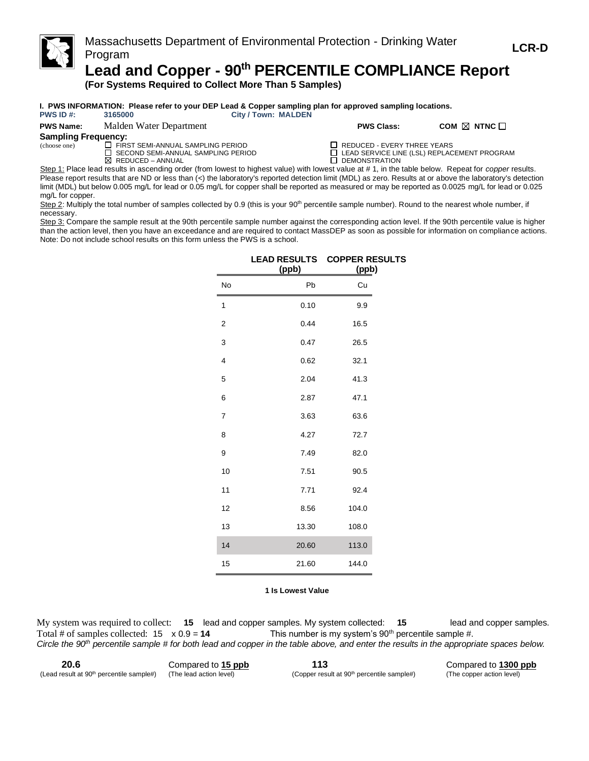

**(For Systems Required to Collect More Than 5 Samples)**

#### **I. PWS INFORMATION: Please refer to your DEP Lead & Copper sampling plan for approved sampling locations.**<br>PWS ID #: 3165000 <br>PWS ID #: 3165000 **City / Town: MALDEN**

| PWS ID#: |  | 3165 |
|----------|--|------|
|----------|--|------|

| <b>PWS Name:</b> | Malden Water Department | <b>PWS Class:</b> | COM $\boxtimes$ NTNC $\Box$ |
|------------------|-------------------------|-------------------|-----------------------------|
|                  |                         |                   |                             |

### **Sampling Frequency:**

(choose one)  $\Box$  FIRST SEMI-ANNUAL SAMPLING PERIOD  $\Box$  REDUCED - EVERY THREE YEARS<br> $\Box$  SECOND SEMI-ANNUAL SAMPLING PERIOD  $\Box$  LEAD SERVICE LINE (LSL) REPLAC

SECOND SEMI-ANNUAL SAMPLING PERIOD LEAD SERVICE LINE (LSL) REPLACEMENT PROGRAM<br>REDUCED – ANNUAL DEMONSTRATION DEMONSTRATION

Step 1: Place lead results in ascending order (from lowest to highest value) with lowest value at # 1, in the table below. Repeat for *copper* results. Please report results that are ND or less than (<) the laboratory's reported detection limit (MDL) as zero. Results at or above the laboratory's detection limit (MDL) but below 0.005 mg/L for lead or 0.05 mg/L for copper shall be reported as measured or may be reported as 0.0025 mg/L for lead or 0.025 mg/L for copper.

Step 2: Multiply the total number of samples collected by 0.9 (this is your 90<sup>th</sup> percentile sample number). Round to the nearest whole number, if necessary.

Step 3: Compare the sample result at the 90th percentile sample number against the corresponding action level. If the 90th percentile value is higher than the action level, then you have an exceedance and are required to contact MassDEP as soon as possible for information on compliance actions. Note: Do not include school results on this form unless the PWS is a school.

|                | <b>LEAD RESULTS</b><br>(ppb) | <b>COPPER RESULTS</b><br>(ppb) |
|----------------|------------------------------|--------------------------------|
| No             | Pb                           | Cu                             |
| 1              | 0.10                         | 9.9                            |
| 2              | 0.44                         | 16.5                           |
| 3              | 0.47                         | 26.5                           |
| 4              | 0.62                         | 32.1                           |
| 5              | 2.04                         | 41.3                           |
| 6              | 2.87                         | 47.1                           |
| $\overline{7}$ | 3.63                         | 63.6                           |
| 8              | 4.27                         | 72.7                           |
| 9              | 7.49                         | 82.0                           |
| 10             | 7.51                         | 90.5                           |
| 11             | 7.71                         | 92.4                           |
| 12             | 8.56                         | 104.0                          |
| 13             | 13.30                        | 108.0                          |
| 14             | 20.60                        | 113.0                          |
| 15             | 21.60                        | 144.0                          |

#### **1 Is Lowest Value**

My system was required to collect: **15** lead and copper samples. My system collected: **15** lead and copper samples. Total # of samples collected:  $15 \times 0.9 = 14$  This number is my system's 90<sup>th</sup> percentile sample #. *Circle the 90th percentile sample # for both lead and copper in the table above, and enter the results in the appropriate spaces below.*

**20.6** Compared to **15 ppb 113** Compared to **1300 ppb** (Lead result at 90<sup>th</sup> percentile sample#) (The lead action level) (Copper result at 90<sup>th</sup> percentile sample#) (The copper action level)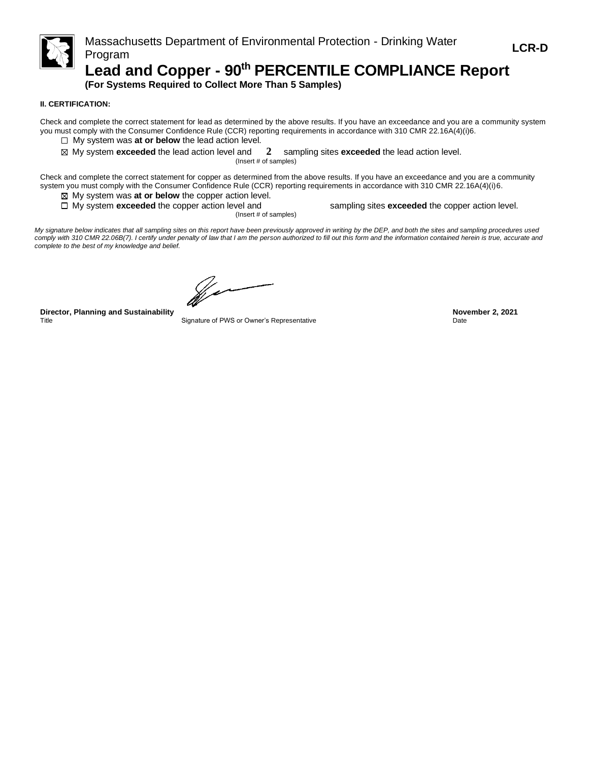

# **Lead and Copper - 90th PERCENTILE COMPLIANCE Report**

**(For Systems Required to Collect More Than 5 Samples)**

### **II. CERTIFICATION:**

Check and complete the correct statement for lead as determined by the above results. If you have an exceedance and you are a community system you must comply with the Consumer Confidence Rule (CCR) reporting requirements in accordance with 310 CMR 22.16A(4)(i)6.

- □ My system was **at or below** the lead action level.
- My system **exceeded** the lead action level and **2** sampling sites **exceeded** the lead action level.

(Insert # of samples)

Check and complete the correct statement for copper as determined from the above results. If you have an exceedance and you are a community system you must comply with the Consumer Confidence Rule (CCR) reporting requirements in accordance with 310 CMR 22.16A(4)(i)6.

My system was **at or below** the copper action level.

(Insert # of samples)

□ My system **exceeded** the copper action level and sampling sites **exceeded** the copper action level.

*My signature below indicates that all sampling sites on this report have been previously approved in writing by the DEP, and both the sites and sampling procedures used*  comply with 310 CMR 22.06B(7). I certify under penalty of law that I am the person authorized to fill out this form and the information contained herein is true, accurate and *complete to the best of my knowledge and belief.*

(f. 1

**Director, Planning and Sustainability November 2, 2021** Title Signature of PWS or Owner's Representative Communication of Dute Date